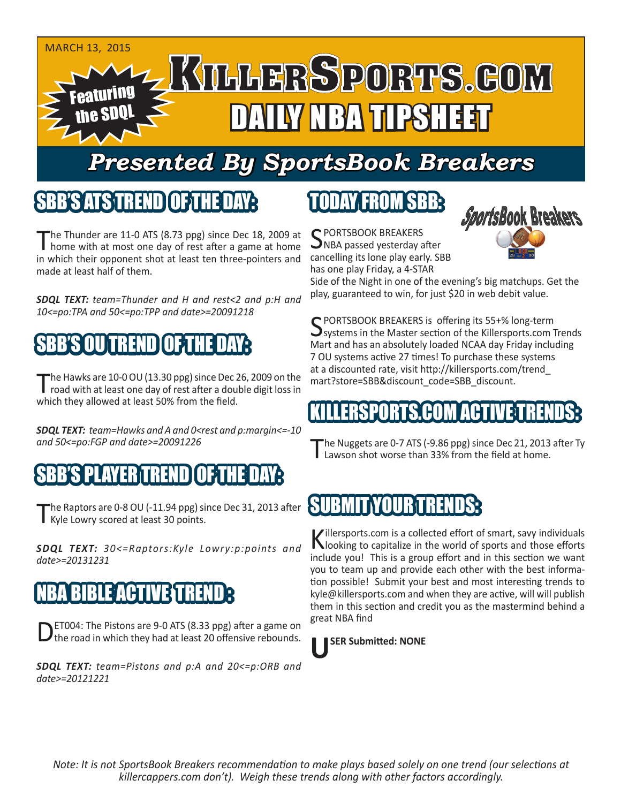

# *Presented By SportsBook Breakers*

#### SBB'S ATSTREND

The Thunder are 11-0 ATS (8.73 ppg) since Dec 18, 2009 at home with at most one day of rest after a game at home in which their opponent shot at least ten three-pointers and cancelling its lone play early. SBB made at least half of them.

*SDQL TEXT: team=Thunder and H and rest<2 and p:H and 10<=po:TPA and 50<=po:TPP and date>=20091218*

## MUTREND

The Hawks are 10-0 OU (13.30 ppg) since Dec 26, 2009 on the<br>road with at least one day of rest after a double digit loss in which they allowed at least 50% from the field.

*SDQL TEXT: team=Hawks and A and 0<rest and p:margin<=-10 and 50<=po:FGP and date>=20091226*



The Raptors are 0-8 OU (-11.94 ppg) since Dec 31, 2013 after Kyle Lowry scored at least 30 points.

*SDQL TEXT: 30<=Raptors:Kyle Lowry:p:points and date>=20131231*

### **BIBLE ACTIVE TRE**

DET004: The Pistons are 9-0 ATS (8.33 ppg) after a game on the road in which they had at least 20 offensive rebounds.

*SDQL TEXT: team=Pistons and p:A and 20<=p:ORB and date>=20121221*

## TODAY FROM SBB:

C PORTSBOOK BREAKERS ONBA passed yesterday after has one play Friday, a 4-STAR



Side of the Night in one of the evening's big matchups. Get the play, guaranteed to win, for just \$20 in web debit value.

SPORTSBOOK BREAKERS is offering its 55+% long-term  $\mathbf{\mathcal{S}}$ systems in the Master section of the Killersports.com Trends Mart and has an absolutely loaded NCAA day Friday including 7 OU systems active 27 times! To purchase these systems at a discounted rate, visit http://killersports.com/trend\_ mart?store=SBB&discount\_code=SBB\_discount.

#### LLERSPORTS.COM ACTIVE TR

The Nuggets are 0-7 ATS (-9.86 ppg) since Dec 21, 2013 after Ty<br>
Lawson shot worse than 33% from the field at home.

#### **SUBMITYOURD**

Killersports.com is a collected effort of smart, savy individuals<br>Nooking to capitalize in the world of sports and those efforts include you! This is a group effort and in this section we want you to team up and provide each other with the best information possible! Submit your best and most interesting trends to kyle@killersports.com and when they are active, will will publish them in this section and credit you as the mastermind behind a great NBA find